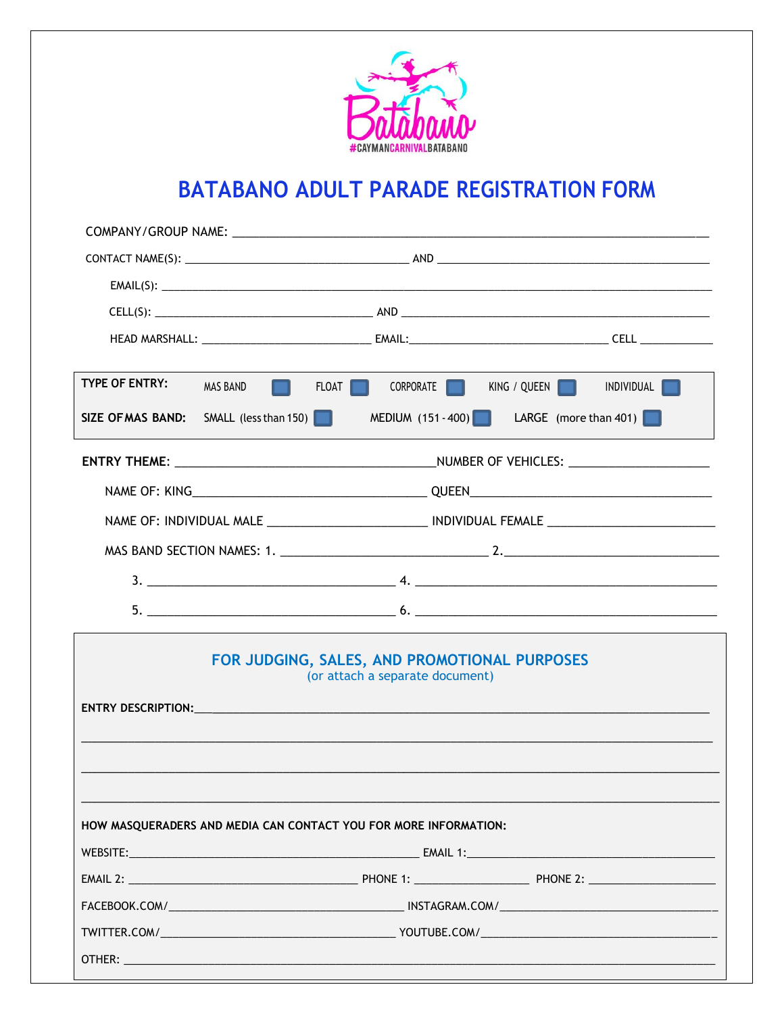

# BATABANO ADULT PARADE REGISTRATION FORM

| <b>TYPE OF ENTRY:</b>    | <b>MAS BAND</b>                                                                                                                                                                                                                                                                                  | FLOAT <b>I</b><br>CORPORATE                                                     | KING / QUEEN | INDIVIDUAL            |  |  |  |
|--------------------------|--------------------------------------------------------------------------------------------------------------------------------------------------------------------------------------------------------------------------------------------------------------------------------------------------|---------------------------------------------------------------------------------|--------------|-----------------------|--|--|--|
| <b>SIZE OF MAS BAND:</b> | SMALL (less than 150) $\Box$                                                                                                                                                                                                                                                                     | MEDIUM (151 - 400)                                                              |              | LARGE (more than 401) |  |  |  |
|                          |                                                                                                                                                                                                                                                                                                  |                                                                                 |              |                       |  |  |  |
|                          |                                                                                                                                                                                                                                                                                                  |                                                                                 |              |                       |  |  |  |
|                          |                                                                                                                                                                                                                                                                                                  |                                                                                 |              |                       |  |  |  |
|                          |                                                                                                                                                                                                                                                                                                  |                                                                                 |              |                       |  |  |  |
|                          | 3. $\frac{1}{2}$ 4. $\frac{1}{2}$ 4. $\frac{1}{2}$ 4. $\frac{1}{2}$ 4. $\frac{1}{2}$ 4. $\frac{1}{2}$ 4. $\frac{1}{2}$ 4. $\frac{1}{2}$ 4. $\frac{1}{2}$ 4. $\frac{1}{2}$ 4. $\frac{1}{2}$ 4. $\frac{1}{2}$ 4. $\frac{1}{2}$ 4. $\frac{1}{2}$ 4. $\frac{1}{2}$ 4. $\frac{1}{2}$ 4. $\frac{1}{2}$ |                                                                                 |              |                       |  |  |  |
|                          |                                                                                                                                                                                                                                                                                                  |                                                                                 |              |                       |  |  |  |
|                          |                                                                                                                                                                                                                                                                                                  | FOR JUDGING, SALES, AND PROMOTIONAL PURPOSES<br>(or attach a separate document) |              |                       |  |  |  |
|                          |                                                                                                                                                                                                                                                                                                  | HOW MASQUERADERS AND MEDIA CAN CONTACT YOU FOR MORE INFORMATION:                |              |                       |  |  |  |
|                          |                                                                                                                                                                                                                                                                                                  |                                                                                 |              |                       |  |  |  |
|                          |                                                                                                                                                                                                                                                                                                  |                                                                                 |              |                       |  |  |  |
|                          |                                                                                                                                                                                                                                                                                                  |                                                                                 |              |                       |  |  |  |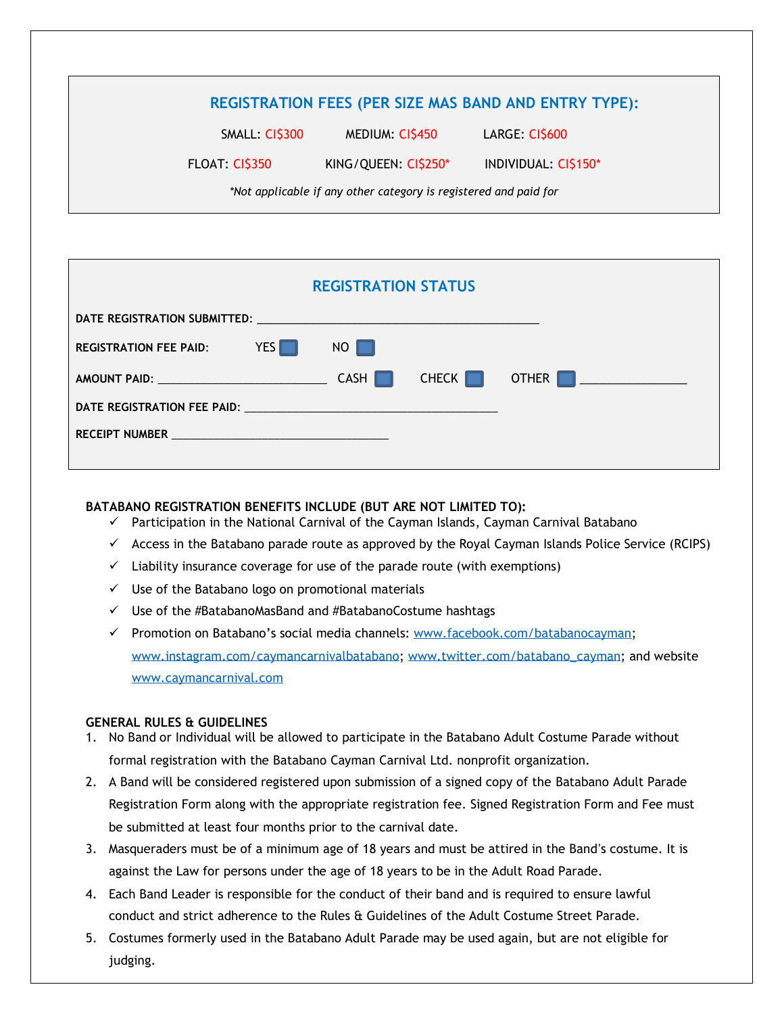# **REGISTRATION FEES (PER SIZE MAS BAND AND ENTRY TYPE):**

SMALL: CI\$300 MEDIUM: CI\$450 LARGE: CI\$600

FLOAT: CI\$350 KING/QUEEN: CI\$250\* INDIVIDUAL: CI\$150\*

*\*Not applicable if any other category is registered and paid for*

| <b>REGISTRATION STATUS</b> |  |              |       |                                                         |  |  |  |  |
|----------------------------|--|--------------|-------|---------------------------------------------------------|--|--|--|--|
|                            |  |              |       |                                                         |  |  |  |  |
| REGISTRATION FEE PAID: YES |  | NO <b>NO</b> |       |                                                         |  |  |  |  |
| AMOUNT PAID: CASH          |  |              | CHECK | OTHER  <br><u> 1990 - Jan Barnett, fransk politiker</u> |  |  |  |  |
|                            |  |              |       |                                                         |  |  |  |  |
|                            |  |              |       |                                                         |  |  |  |  |
|                            |  |              |       |                                                         |  |  |  |  |

### **BATABANO REGISTRATION BENEFITS INCLUDE (BUT ARE NOT LIMITED TO):**

- ✓ Participation in the National Carnival of the Cayman Islands, Cayman Carnival Batabano
- $\checkmark$  Access in the Batabano parade route as approved by the Royal Cayman Islands Police Service (RCIPS)
- $\checkmark$  Liability insurance coverage for use of the parade route (with exemptions)
- $\checkmark$  Use of the Batabano logo on promotional materials
- ✓ Use of the #BatabanoMasBand and #BatabanoCostume hashtags
- ✓ Promotion on Batabano's social media channels: [www.facebook.com/batabanocayman;](http://www.facebook.com/batabanocayman) [www.instagram.com/caymancarnivalbatabano;](http://www.instagram.com/caymancarnivalbatabano) [www.twitter.com/batabano\\_cayman;](http://www.twitter.com/batabano_cayman) and website [www.caymancarnival.com](http://www.caymancarnival.com/)

## **GENERAL RULES & GUIDELINES**

- 1. No Band or Individual will be allowed to participate in the Batabano Adult Costume Parade without formal registration with the Batabano Cayman Carnival Ltd. nonprofit organization.
- 2. A Band will be considered registered upon submission of a signed copy of the Batabano Adult Parade Registration Form along with the appropriate registration fee. Signed Registration Form and Fee must be submitted at least four months prior to the carnival date.
- 3. Masqueraders must be of a minimum age of 18 years and must be attired in the Band's costume. It is against the Law for persons under the age of 18 years to be in the Adult Road Parade.
- 4. Each Band Leader is responsible for the conduct of their band and is required to ensure lawful conduct and strict adherence to the Rules & Guidelines of the Adult Costume Street Parade.
- 5. Costumes formerly used in the Batabano Adult Parade may be used again, but are not eligible for judging.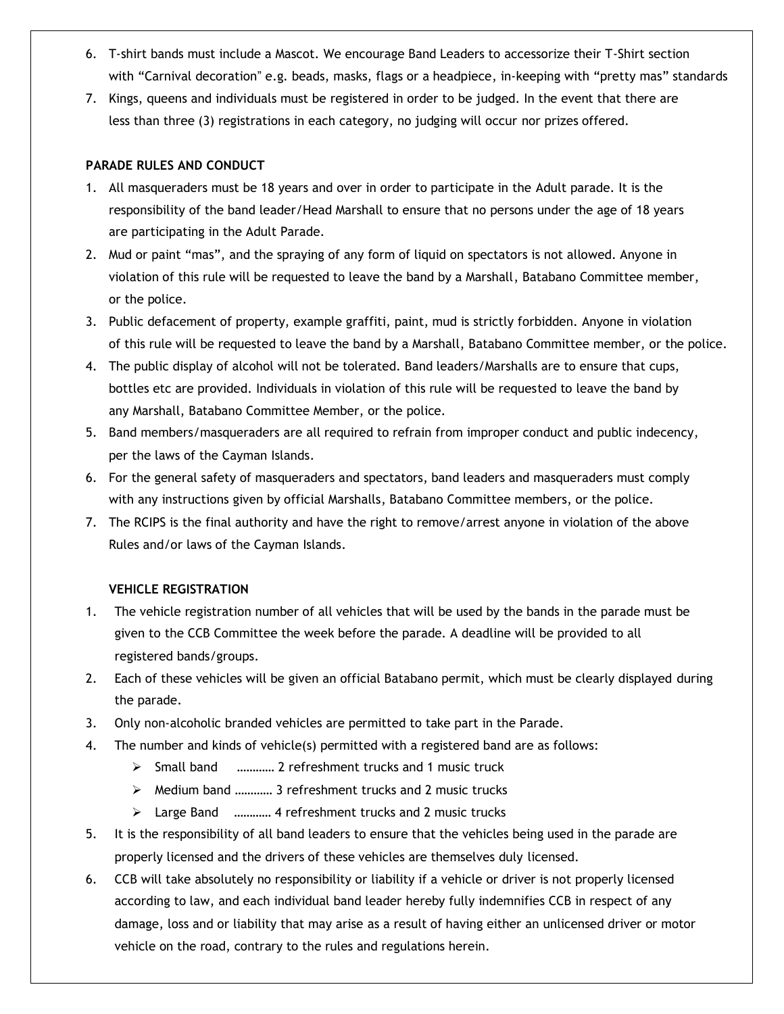- 6. T-shirt bands must include a Mascot. We encourage Band Leaders to accessorize their T-Shirt section with "Carnival decoration" e.g. beads, masks, flags or a headpiece, in-keeping with "pretty mas" standards
- 7. Kings, queens and individuals must be registered in order to be judged. In the event that there are less than three (3) registrations in each category, no judging will occur nor prizes offered.

#### **PARADE RULES AND CONDUCT**

- 1. All masqueraders must be 18 years and over in order to participate in the Adult parade. It is the responsibility of the band leader/Head Marshall to ensure that no persons under the age of 18 years are participating in the Adult Parade.
- 2. Mud or paint "mas", and the spraying of any form of liquid on spectators is not allowed. Anyone in violation of this rule will be requested to leave the band by a Marshall, Batabano Committee member, or the police.
- 3. Public defacement of property, example graffiti, paint, mud is strictly forbidden. Anyone in violation of this rule will be requested to leave the band by a Marshall, Batabano Committee member, or the police.
- 4. The public display of alcohol will not be tolerated. Band leaders/Marshalls are to ensure that cups, bottles etc are provided. Individuals in violation of this rule will be requested to leave the band by any Marshall, Batabano Committee Member, or the police.
- 5. Band members/masqueraders are all required to refrain from improper conduct and public indecency, per the laws of the Cayman Islands.
- 6. For the general safety of masqueraders and spectators, band leaders and masqueraders must comply with any instructions given by official Marshalls, Batabano Committee members, or the police.
- 7. The RCIPS is the final authority and have the right to remove/arrest anyone in violation of the above Rules and/or laws of the Cayman Islands.

#### **VEHICLE REGISTRATION**

- 1. The vehicle registration number of all vehicles that will be used by the bands in the parade must be given to the CCB Committee the week before the parade. A deadline will be provided to all registered bands/groups.
- 2. Each of these vehicles will be given an official Batabano permit, which must be clearly displayed during the parade.
- 3. Only non-alcoholic branded vehicles are permitted to take part in the Parade.
- 4. The number and kinds of vehicle(s) permitted with a registered band are as follows:
	- ➢ Small band ………… 2 refreshment trucks and 1 music truck
	- ➢ Medium band ………… 3 refreshment trucks and 2 music trucks
	- ➢ Large Band ………… 4 refreshment trucks and 2 music trucks
- 5. It is the responsibility of all band leaders to ensure that the vehicles being used in the parade are properly licensed and the drivers of these vehicles are themselves duly licensed.
- 6. CCB will take absolutely no responsibility or liability if a vehicle or driver is not properly licensed according to law, and each individual band leader hereby fully indemnifies CCB in respect of any damage, loss and or liability that may arise as a result of having either an unlicensed driver or motor vehicle on the road, contrary to the rules and regulations herein.